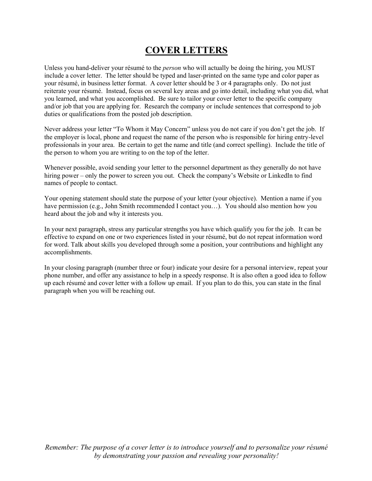## **COVER LETTERS**

Unless you hand-deliver your résumé to the *person* who will actually be doing the hiring, you MUST include a cover letter. The letter should be typed and laser-printed on the same type and color paper as your résumé, in business letter format. A cover letter should be 3 or 4 paragraphs only. Do not just reiterate your résumé. Instead, focus on several key areas and go into detail, including what you did, what you learned, and what you accomplished. Be sure to tailor your cover letter to the specific company and/or job that you are applying for. Research the company or include sentences that correspond to job duties or qualifications from the posted job description.

Never address your letter "To Whom it May Concern" unless you do not care if you don't get the job. If the employer is local, phone and request the name of the person who is responsible for hiring entry-level professionals in your area. Be certain to get the name and title (and correct spelling). Include the title of the person to whom you are writing to on the top of the letter.

Whenever possible, avoid sending your letter to the personnel department as they generally do not have hiring power – only the power to screen you out. Check the company's Website or LinkedIn to find names of people to contact.

Your opening statement should state the purpose of your letter (your objective). Mention a name if you have permission (e.g., John Smith recommended I contact you...). You should also mention how you heard about the job and why it interests you.

In your next paragraph, stress any particular strengths you have which qualify you for the job. It can be effective to expand on one or two experiences listed in your résumé, but do not repeat information word for word. Talk about skills you developed through some a position, your contributions and highlight any accomplishments.

In your closing paragraph (number three or four) indicate your desire for a personal interview, repeat your phone number, and offer any assistance to help in a speedy response. It is also often a good idea to follow up each résumé and cover letter with a follow up email. If you plan to do this, you can state in the final paragraph when you will be reaching out.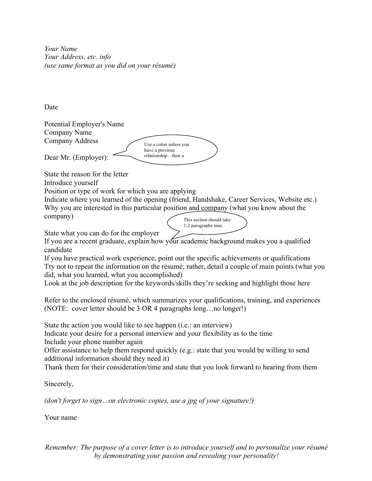*Your Name Your Address, etc. info (use same format as you did on your résumé)*

Date

Potential Employer's Name Company Name Company Address

Dear Mr. (Employer):

State the reason for the letter Introduce yourself

Position or type of work for which you are applying

Indicate where you learned of the opening (friend, Handshake, Career Services, Website etc.) Why you are interested in this particular position and company (what you know about the company) This section should take

Use a colon unless you have a previous relationship…then a  $\sim$ 

State what you can do for the employer

If you are a recent graduate, explain how your academic background makes you a qualified candidate

If you have practical work experience, point out the specific achievements or qualifications Try not to repeat the information on the résumé; rather, detail a couple of main points (what you did, what you learned, what you accomplished)

1-2 paragraphs max.

Look at the job description for the keywords/skills they're seeking and highlight those here

Refer to the enclosed résumé, which summarizes your qualifications, training, and experiences (NOTE: cover letter should be 3 OR 4 paragraphs long…no longer!)

State the action you would like to see happen (i.e.: an interview)

Indicate your desire for a personal interview and your flexibility as to the time Include your phone number again

Offer assistance to help them respond quickly (e.g.: state that you would be willing to send additional information should they need it)

Thank them for their consideration/time and state that you look forward to hearing from them

Sincerely,

*(don't forget to sign…on electronic copies, use a jpg of your signature!)*

Your name

*Remember: The purpose of a cover letter is to introduce yourself and to personalize your résumé by demonstrating your passion and revealing your personality!*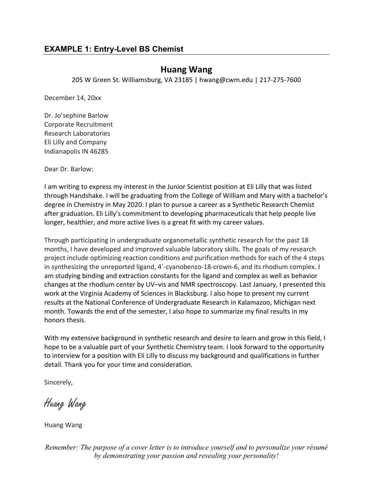### **Huang Wang**

205 W Green St. Williamsburg, VA 23185 | hwang@cwm.edu | 217-275-7600

December 14, 20xx

Dr. Jo'sephine Barlow Corporate Recruitment Research Laboratories Eli Lilly and Company Indianapolis IN 46285

Dear Dr. Barlow:

I am writing to express my interest in the Junior Scientist position at Eli Lilly that was listed through Handshake. I will be graduating from the College of William and Mary with a bachelor's degree in Chemistry in May 2020. I plan to pursue a career as a Synthetic Research Chemist after graduation. Eli Lilly's commitment to developing pharmaceuticals that help people live longer, healthier, and more active lives is a great fit with my career values.

Through participating in undergraduate organometallic synthetic research for the past 18 months, I have developed and improved valuable laboratory skills. The goals of my research project include optimizing reaction conditions and purification methods for each of the 4 steps in synthesizing the unreported ligand, 4´-cyanobenzo-18-crown-6, and its rhodium complex. I am studying binding and extraction constants for the ligand and complex as well as behavior changes at the rhodium center by UV–vis and NMR spectroscopy. Last January, I presented this work at the Virginia Academy of Sciences in Blacksburg. I also hope to present my current results at the National Conference of Undergraduate Research in Kalamazoo, Michigan next month. Towards the end of the semester, I also hope to summarize my final results in my honors thesis.

With my extensive background in synthetic research and desire to learn and grow in this field, I hope to be a valuable part of your Synthetic Chemistry team. I look forward to the opportunity to interview for a position with Eli Lilly to discuss my background and qualifications in further detail. Thank you for your time and consideration.

Sincerely,

Huang Wang

Huang Wang

*Remember: The purpose of a cover letter is to introduce yourself and to personalize your résumé by demonstrating your passion and revealing your personality!*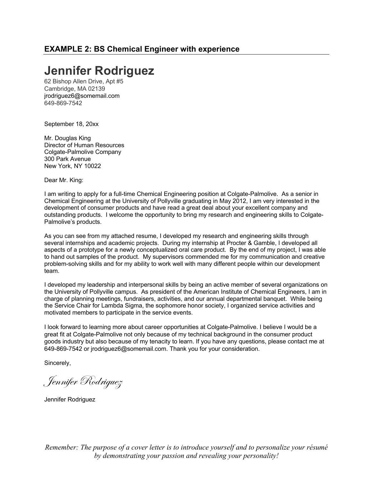# **Jennifer Rodriguez**

62 Bishop Allen Drive, Apt #5 Cambridge, MA 02139 jrodriguez6@somemail.com 649-869-7542

September 18, 20xx

Mr. Douglas King Director of Human Resources Colgate-Palmolive Company 300 Park Avenue New York, NY 10022

Dear Mr. King:

I am writing to apply for a full-time Chemical Engineering position at Colgate-Palmolive. As a senior in Chemical Engineering at the University of Pollyville graduating in May 2012, I am very interested in the development of consumer products and have read a great deal about your excellent company and outstanding products. I welcome the opportunity to bring my research and engineering skills to Colgate-Palmolive's products.

As you can see from my attached resume, I developed my research and engineering skills through several internships and academic projects. During my internship at Procter & Gamble, I developed all aspects of a prototype for a newly conceptualized oral care product. By the end of my project, I was able to hand out samples of the product. My supervisors commended me for my communication and creative problem-solving skills and for my ability to work well with many different people within our development team.

I developed my leadership and interpersonal skills by being an active member of several organizations on the University of Pollyville campus. As president of the American Institute of Chemical Engineers, I am in charge of planning meetings, fundraisers, activities, and our annual departmental banquet. While being the Service Chair for Lambda Sigma, the sophomore honor society, I organized service activities and motivated members to participate in the service events.

I look forward to learning more about career opportunities at Colgate-Palmolive. I believe I would be a great fit at Colgate-Palmolive not only because of my technical background in the consumer product goods industry but also because of my tenacity to learn. If you have any questions, please contact me at 649-869-7542 or jrodriguez6@somemail.com. Thank you for your consideration.

Sincerely,

Jennifer Rodriguez

Jennifer Rodriguez

*Remember: The purpose of a cover letter is to introduce yourself and to personalize your résumé by demonstrating your passion and revealing your personality!*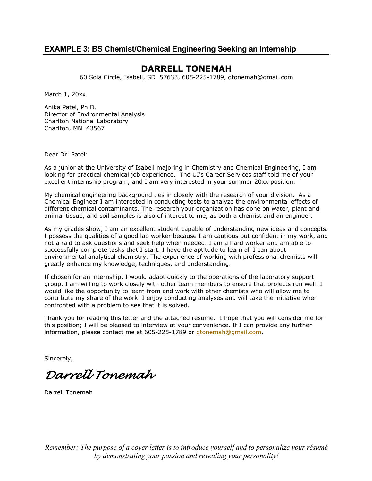#### **EXAMPLE 3: BS Chemist/Chemical Engineering Seeking an Internship**

#### **DARRELL TONEMAH**

60 Sola Circle, Isabell, SD 57633, 605-225-1789, dtonemah@gmail.com

March 1, 20xx

Anika Patel, Ph.D. Director of Environmental Analysis Charlton National Laboratory Charlton, MN 43567

Dear Dr. Patel:

As a junior at the University of Isabell majoring in Chemistry and Chemical Engineering, I am looking for practical chemical job experience. The UI's Career Services staff told me of your excellent internship program, and I am very interested in your summer 20xx position.

My chemical engineering background ties in closely with the research of your division. As a Chemical Engineer I am interested in conducting tests to analyze the environmental effects of different chemical contaminants. The research your organization has done on water, plant and animal tissue, and soil samples is also of interest to me, as both a chemist and an engineer.

As my grades show, I am an excellent student capable of understanding new ideas and concepts. I possess the qualities of a good lab worker because I am cautious but confident in my work, and not afraid to ask questions and seek help when needed. I am a hard worker and am able to successfully complete tasks that I start. I have the aptitude to learn all I can about environmental analytical chemistry. The experience of working with professional chemists will greatly enhance my knowledge, techniques, and understanding.

If chosen for an internship, I would adapt quickly to the operations of the laboratory support group. I am willing to work closely with other team members to ensure that projects run well. I would like the opportunity to learn from and work with other chemists who will allow me to contribute my share of the work. I enjoy conducting analyses and will take the initiative when confronted with a problem to see that it is solved.

Thank you for reading this letter and the attached resume. I hope that you will consider me for this position; I will be pleased to interview at your convenience. If I can provide any further information, please contact me at 605-225-1789 or dtonemah@gmail.com.

Sincerely,

*Darrell Tonemah*

Darrell Tonemah